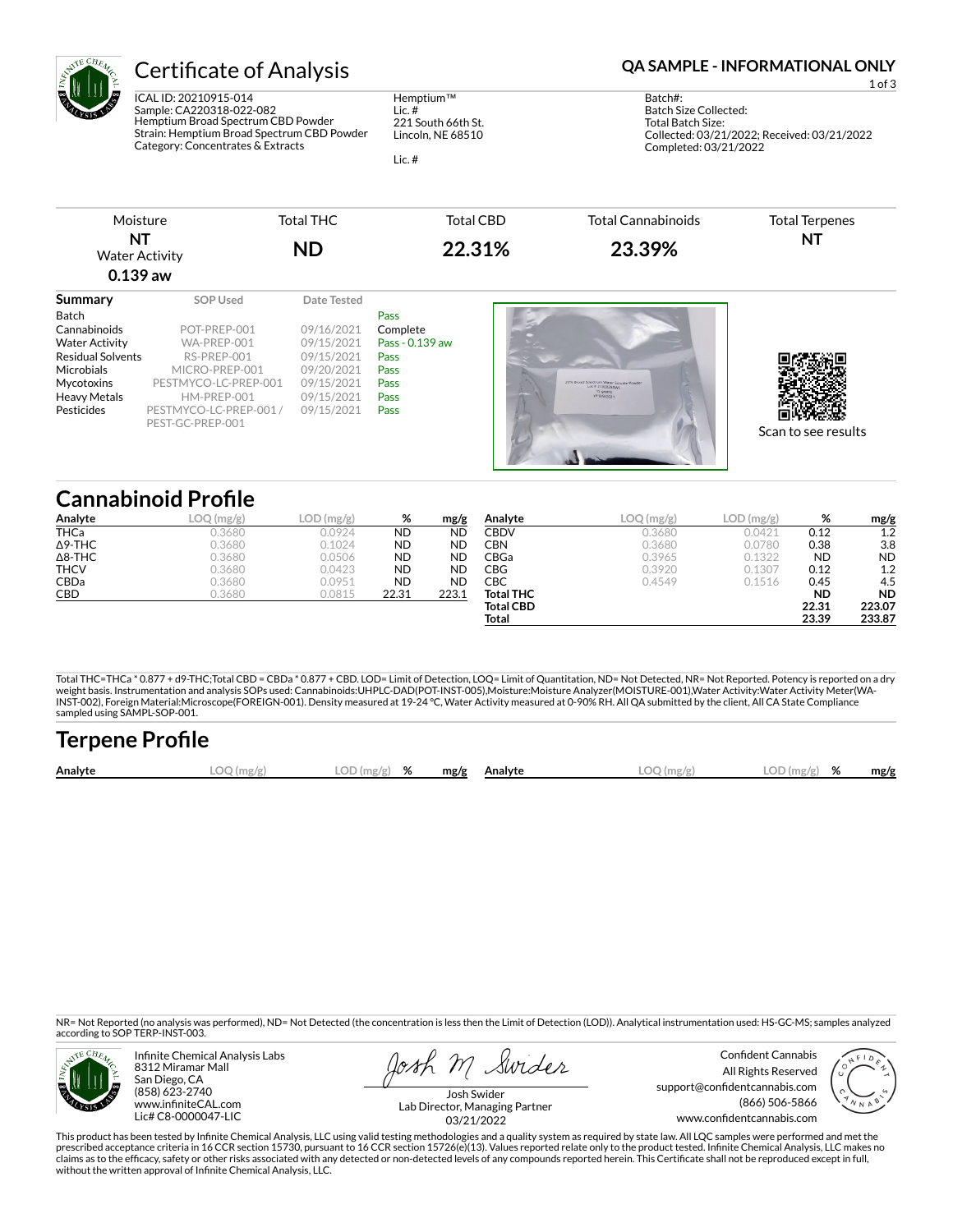

ICAL ID: 20210915-014 Sample: CA220318-022-082 Hemptium Broad Spectrum CBD Powder Strain: Hemptium Broad Spectrum CBD Powder Category: Concentrates & Extracts

Hemptium™ Lic. # 221 South 66th St. Lincoln, NE 68510

Lic. #

## Certificate of Analysis **Certificate of Analysis QA SAMPLE - INFORMATIONAL ONLY**

1 of 3

Batch#: Batch Size Collected: Total Batch Size: Collected: 03/21/2022; Received: 03/21/2022 Completed: 03/21/2022

| Moisture                           | Total THC | Total CBD | Total Cannabinoids | Total Terpenes |
|------------------------------------|-----------|-----------|--------------------|----------------|
| <b>NT</b><br><b>Water Activity</b> | <b>ND</b> | 22.31%    | 23.39%             | NT             |
| $0.139$ aw                         |           |           |                    |                |

| Summary                  | SOP Used               | Date Tested |                 |
|--------------------------|------------------------|-------------|-----------------|
| Batch                    |                        |             | Pass            |
| Cannabinoids             | POT-PREP-001           | 09/16/2021  | Complete        |
| <b>Water Activity</b>    | WA-PREP-001            | 09/15/2021  | Pass - 0.139 aw |
| <b>Residual Solvents</b> | RS-PREP-001            | 09/15/2021  | Pass            |
| Microbials               | MICRO-PREP-001         | 09/20/2021  | Pass            |
| Mycotoxins               | PESTMYCO-LC-PREP-001   | 09/15/2021  | Pass            |
| <b>Heavy Metals</b>      | HM-PREP-001            | 09/15/2021  | <b>Pass</b>     |
| Pesticides               | PESTMYCO-LC-PREP-001 / | 09/15/2021  | Pass            |
|                          | PEST-GC-PREP-001       |             |                 |
|                          |                        |             |                 |
|                          |                        |             |                 |
|                          |                        |             |                 |

## **Cannabinoid Profile**

| Analyte        | ) (mo/o) | (mg/g) | %         | mg/g      | Analyte          | LOC<br>(mg/g) | LOD<br>(mg/g) | %         | mg/g      |
|----------------|----------|--------|-----------|-----------|------------------|---------------|---------------|-----------|-----------|
| <b>THCa</b>    | 0.3680   | 0.0924 | <b>ND</b> | <b>ND</b> | CBDV             | 0.3680        | 0.0421        | 0.12      | 1.2       |
| $\Delta$ 9-THC | 0.3680   | 0.1024 | <b>ND</b> | <b>ND</b> | CBN              | 0.3680        | 0.0780        | 0.38      | 3.8       |
| $\Delta$ 8-THC | 0.3680   | 0.0506 | <b>ND</b> | <b>ND</b> | <b>CBGa</b>      | 0.3965        | 0.1322        | <b>ND</b> | <b>ND</b> |
| <b>THCV</b>    | 0.3680   | 0.0423 | <b>ND</b> | <b>ND</b> | CBG              | 0.3920        | 0.1307        | 0.12      | 1.2       |
| CBDa           | 0.3680   | 0.0951 | <b>ND</b> | <b>ND</b> | СВС              | 0.4549        | 0.1516        | 0.45      | 4.5       |
| CBD            | 0.3680   | 0.0815 | 22.31     | 223.1     | <b>Total THC</b> |               |               | <b>ND</b> | <b>ND</b> |
|                |          |        |           |           | <b>Total CBD</b> |               |               | 22.31     | 223.07    |
|                |          |        |           |           | Total            |               |               | 23.39     | 233.87    |

Total THC=THCa \* 0.877 + d9-THC;Total CBD = CBDa \* 0.877 + CBD. LOD= Limit of Detection, LOQ= Limit of Quantitation, ND= Not Detected, NR= Not Reported. Potency is reported on a dry<br>weight basis. Instrumentation and analys INST-002), Foreign Material:Microscope(FOREIGN-001). Density measured at 19-24 °C, Water Activity measured at 0-90% RH. All QA submitted by the client, All CA State Compliance sampled using SAMPL-SOP-001.

| <b>Terpene Profile</b> |             |               |      |         |              |                |      |
|------------------------|-------------|---------------|------|---------|--------------|----------------|------|
| Analyte                | ີີີີ (mg/g) | $LOD(mg/g)$ % | mg/g | Analvte | $LOO$ (mg/s) | LOD(mg/g)<br>% | mg/g |

NR= Not Reported (no analysis was performed), ND= Not Detected (the concentration is less then the Limit of Detection (LOD)). Analytical instrumentation used: HS-GC-MS; samples analyzed according to SOP TERP-INST-003.



Infinite Chemical Analysis Labs 8312 Miramar Mall San Diego, CA (858) 623-2740 www.infiniteCAL.com Lic# C8-0000047-LIC

Swider

Confident Cannabis All Rights Reserved support@confidentcannabis.com (866) 506-5866 www.confidentcannabis.com



Josh Swider Lab Director, Managing Partner 03/21/2022

This product has been tested by Infinite Chemical Analysis, LLC using valid testing methodologies and a quality system as required by state law. All LQC samples were performed and met the prescribed acceptance criteria in 16 CCR section 15730, pursuant to 16 CCR section 15726(e)(13). Values reported relate only to the product tested. Infinite Chemical Analysis, LLC makes no<br>claims as to the efficacy, safety without the written approval of Infinite Chemical Analysis, LLC.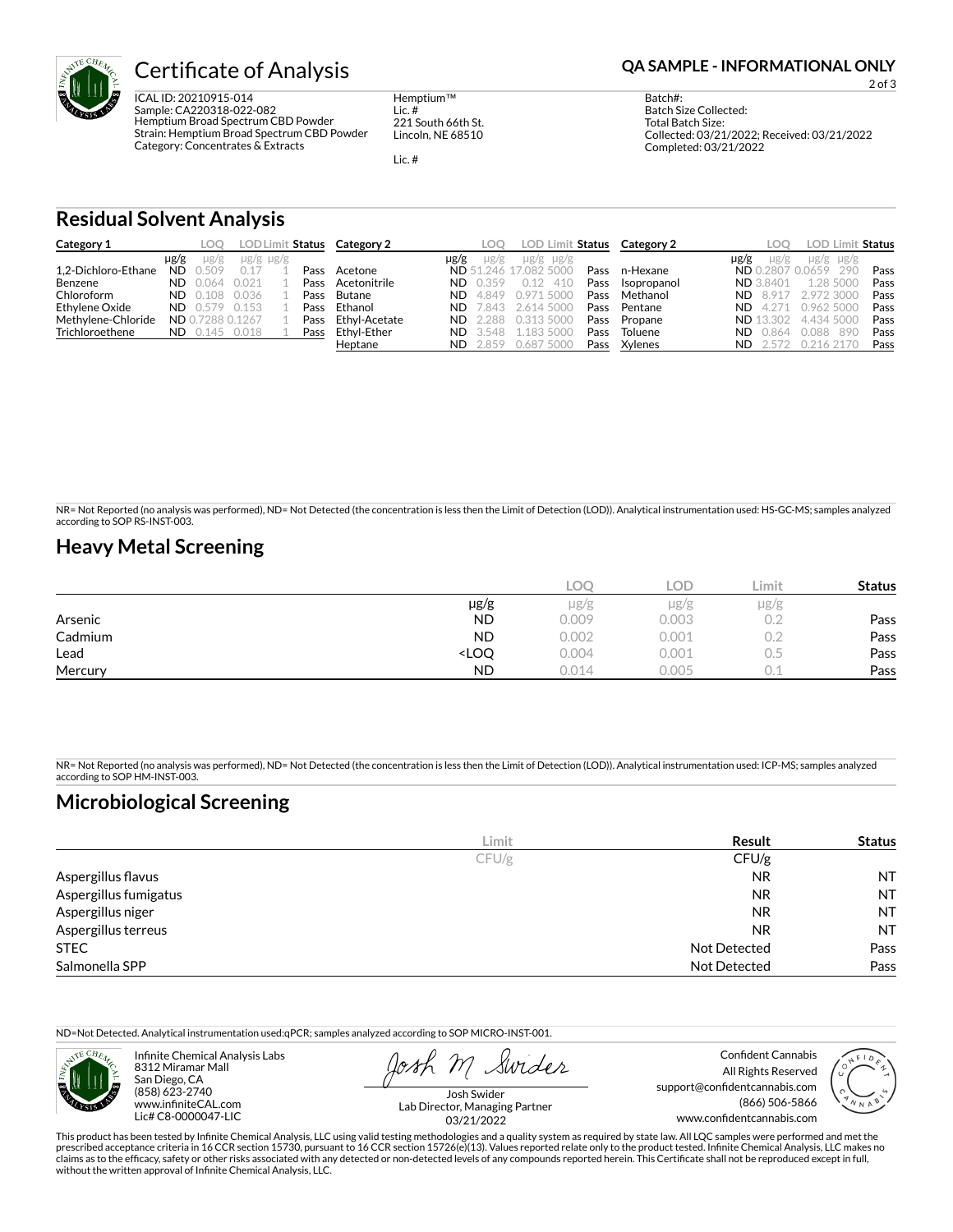

ICAL ID: 20210915-014 Sample: CA220318-022-082 Hemptium Broad Spectrum CBD Powder Strain: Hemptium Broad Spectrum CBD Powder Category: Concentrates & Extracts

Hemptium™ Lic. # 221 South 66th St. Lincoln, NE 68510

Lic. #

2 of 3

Batch#: Batch Size Collected: Total Batch Size: Collected: 03/21/2022; Received: 03/21/2022 Completed: 03/21/2022

### **Residual Solvent Analysis**

| Category 1          |           | LOO.             |                     |      | LOD Limit Status Category 2 |           | loo             | LOD Limit Status      |      | Category 2  | <b>LOO</b>           |       | LOD Limit Status    |      |
|---------------------|-----------|------------------|---------------------|------|-----------------------------|-----------|-----------------|-----------------------|------|-------------|----------------------|-------|---------------------|------|
|                     | µg/g      | $\mu$ g/g        | $\mu$ g/g $\mu$ g/g |      |                             | $\mu$ g/g | $\mu$ g/g       | $\mu$ g/g $\mu$ g/g   |      |             | µg/g<br>$\mu$ g/g    |       | $\mu$ g/g $\mu$ g/g |      |
| 1.2-Dichloro-Ethane | <b>ND</b> | 0.509            | 0.17                | Pass | Acetone                     |           |                 | ND 51.246 17.082 5000 | Pass | n-Hexane    | ND 0.2807 0.0659 290 |       |                     | Pass |
| Benzene             | ND.       | 0.064            | 0.021               | Pass | Acetonitrile                | ND.       | 0.359           | 0.12<br>410           | Pass | Isopropanol | <b>ND</b> 3.8401     |       | 1.28 5000           | Pass |
| Chloroform          | ND.       | 0.108            | 0.036               | Pass | Butane                      |           | <b>ND</b> 4.849 | 0.971.5000            | Pass | Methanol    | <b>ND 8.917</b>      |       | 2.972.3000          | Pass |
| Ethylene Oxide      | ND.       | 0.579 0.153      |                     | Pass | Ethanol                     | ND.       | 7.843           | 2.614 5000            | Pass | Pentane     | $ND$ 4.271           |       | 0.962 5000          | Pass |
| Methylene-Chloride  |           | ND 0.7288 0.1267 |                     | Pass | Ethyl-Acetate               | ND.       | 2.288           | 0.313 5000            | Pass | Propane     | <b>ND</b> 13.302     |       | 4.434 5000          | Pass |
| Trichloroethene     | ND.       | 0.145            | 0.018               | Pass | Ethvl-Ether                 | ND.       | 3.548           | 1.183.5000            | Pass | Toluene     | 0.864<br>ND.         | 0.088 | -890                | Pass |
|                     |           |                  |                     |      | Heptane                     | ND.       | 2.859           | 0.687 5000            | Pass | Xylenes     | ND.<br>- 2.572       |       | 0.216.2170          | Pass |

NR= Not Reported (no analysis was performed), ND= Not Detected (the concentration is less then the Limit of Detection (LOD)). Analytical instrumentation used: HS-GC-MS; samples analyzed according to SOP RS-INST-003.

## **Heavy Metal Screening**

|         |                                                                          | <b>LOC</b> | LOD       | Limit | <b>Status</b> |
|---------|--------------------------------------------------------------------------|------------|-----------|-------|---------------|
|         | µg/g                                                                     | $\mu$ g/g  | $\mu$ g/g | µg/g  |               |
| Arsenic | <b>ND</b>                                                                | 0.009      | 0.003     | 0.2   | Pass          |
| Cadmium | <b>ND</b>                                                                | 0.002      | 0.001     | 0.2   | Pass          |
| Lead    | <loq< th=""><th>0.004</th><th>0.001</th><th>U.5</th><th>Pass</th></loq<> | 0.004      | 0.001     | U.5   | Pass          |
| Mercury | <b>ND</b>                                                                | 0.014      | 0.005     |       | Pass          |

NR= Not Reported (no analysis was performed), ND= Not Detected (the concentration is less then the Limit of Detection (LOD)). Analytical instrumentation used: ICP-MS; samples analyzed according to SOP HM-INST-003.

## **Microbiological Screening**

|                       | Limit | Result       | <b>Status</b> |
|-----------------------|-------|--------------|---------------|
|                       | CFU/g | CFU/g        |               |
| Aspergillus flavus    |       | <b>NR</b>    | <b>NT</b>     |
| Aspergillus fumigatus |       | <b>NR</b>    | <b>NT</b>     |
| Aspergillus niger     |       | <b>NR</b>    | <b>NT</b>     |
| Aspergillus terreus   |       | <b>NR</b>    | <b>NT</b>     |
| <b>STEC</b>           |       | Not Detected | Pass          |
| Salmonella SPP        |       | Not Detected | Pass          |

ND=Not Detected. Analytical instrumentation used:qPCR; samples analyzed according to SOP MICRO-INST-001.



Infinite Chemical Analysis Labs 8312 Miramar Mall San Diego, CA (858) 623-2740 www.infiniteCAL.com Lic# C8-0000047-LIC

Swider

Confident Cannabis All Rights Reserved support@confidentcannabis.com (866) 506-5866 www.confidentcannabis.com



Josh Swider Lab Director, Managing Partner 03/21/2022

This product has been tested by Infinite Chemical Analysis, LLC using valid testing methodologies and a quality system as required by state law. All LQC samples were performed and met the prescribed acceptance criteria in 16 CCR section 15730, pursuant to 16 CCR section 15726(e)(13). Values reported relate only to the product tested. Infinite Chemical Analysis, LLC makes no<br>claims as to the efficacy, safety without the written approval of Infinite Chemical Analysis, LLC.